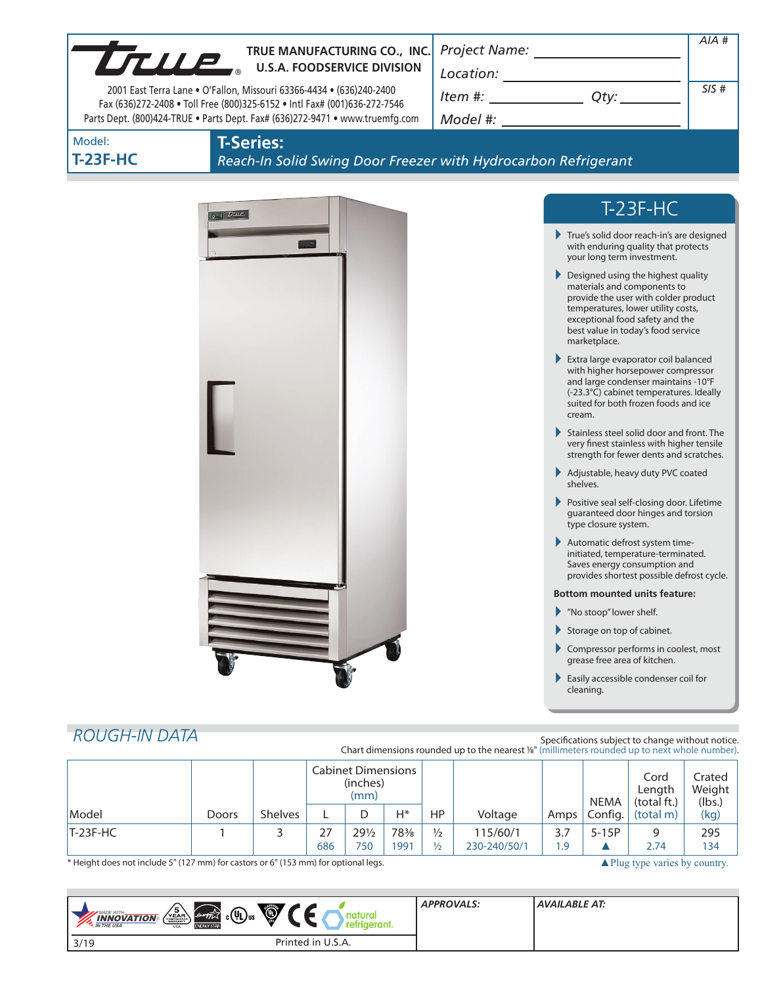|                                                                                                                                                   | TRUE MANUFACTURING CO., INC. |                |                                               |   |                 |    |                                                                                              |                                                                                                                |                               |                                                                                                                                                                                                                            | $AIA$ # |
|---------------------------------------------------------------------------------------------------------------------------------------------------|------------------------------|----------------|-----------------------------------------------|---|-----------------|----|----------------------------------------------------------------------------------------------|----------------------------------------------------------------------------------------------------------------|-------------------------------|----------------------------------------------------------------------------------------------------------------------------------------------------------------------------------------------------------------------------|---------|
| True.<br><b>U.S.A. FOODSERVICE DIVISION</b>                                                                                                       |                              |                |                                               |   |                 |    |                                                                                              |                                                                                                                |                               |                                                                                                                                                                                                                            |         |
| 2001 East Terra Lane . O'Fallon, Missouri 63366-4434 . (636)240-2400<br>Fax (636)272-2408 . Toll Free (800)325-6152 . Intl Fax# (001)636-272-7546 |                              |                |                                               |   | $Item \#:$ Qty: |    |                                                                                              |                                                                                                                | SIS#                          |                                                                                                                                                                                                                            |         |
| Parts Dept. (800)424-TRUE . Parts Dept. Fax# (636)272-9471 . www.truemfg.com                                                                      |                              |                |                                               |   |                 |    |                                                                                              |                                                                                                                |                               |                                                                                                                                                                                                                            |         |
| Model:<br><b>T-23F-HC</b>                                                                                                                         | <b>T-Series:</b>             |                |                                               |   |                 |    | Reach-In Solid Swing Door Freezer with Hydrocarbon Refrigerant                               |                                                                                                                |                               |                                                                                                                                                                                                                            |         |
|                                                                                                                                                   | $\sigma$ true                |                |                                               |   |                 |    |                                                                                              |                                                                                                                |                               | $T-23F-HC$                                                                                                                                                                                                                 |         |
|                                                                                                                                                   |                              |                |                                               |   |                 |    |                                                                                              | True's solid door reach-in's are designed<br>with enduring quality that protects<br>your long term investment. |                               |                                                                                                                                                                                                                            |         |
|                                                                                                                                                   |                              |                |                                               |   |                 |    |                                                                                              |                                                                                                                | marketplace.                  | ▶ Designed using the highest quality<br>materials and components to<br>provide the user with colder product<br>temperatures, lower utility costs,<br>exceptional food safety and the<br>best value in today's food service |         |
|                                                                                                                                                   |                              |                |                                               |   |                 |    |                                                                                              | cream.                                                                                                         |                               | Extra large evaporator coil balanced<br>with higher horsepower compressor<br>and large condenser maintains -10°F<br>(-23.3°C) cabinet temperatures. Ideally<br>suited for both frozen foods and ice                        |         |
|                                                                                                                                                   |                              |                |                                               |   |                 |    |                                                                                              |                                                                                                                |                               | Stainless steel solid door and front. The<br>very finest stainless with higher tensile<br>strength for fewer dents and scratches.                                                                                          |         |
|                                                                                                                                                   |                              |                |                                               |   |                 |    |                                                                                              |                                                                                                                | shelves.                      | Adjustable, heavy duty PVC coated                                                                                                                                                                                          |         |
|                                                                                                                                                   |                              |                |                                               |   |                 |    |                                                                                              |                                                                                                                | type closure system.          | Positive seal self-closing door. Lifetime<br>guaranteed door hinges and torsion                                                                                                                                            |         |
|                                                                                                                                                   |                              |                |                                               |   |                 |    |                                                                                              |                                                                                                                |                               | Automatic defrost system time-<br>initiated, temperature-terminated.<br>Saves energy consumption and<br>provides shortest possible defrost cycle.                                                                          |         |
|                                                                                                                                                   |                              |                |                                               |   |                 |    |                                                                                              |                                                                                                                |                               | <b>Bottom mounted units feature:</b>                                                                                                                                                                                       |         |
|                                                                                                                                                   |                              |                |                                               |   |                 |    |                                                                                              |                                                                                                                | Mo stoop" lower shelf.        |                                                                                                                                                                                                                            |         |
|                                                                                                                                                   |                              |                |                                               |   |                 |    |                                                                                              | ▶                                                                                                              |                               | Storage on top of cabinet.<br>Compressor performs in coolest, most                                                                                                                                                         |         |
|                                                                                                                                                   |                              |                |                                               |   |                 |    |                                                                                              |                                                                                                                |                               | grease free area of kitchen.                                                                                                                                                                                               |         |
|                                                                                                                                                   |                              |                |                                               |   |                 |    |                                                                                              |                                                                                                                | cleaning.                     | Easily accessible condenser coil for                                                                                                                                                                                       |         |
|                                                                                                                                                   |                              |                |                                               |   |                 |    |                                                                                              |                                                                                                                |                               |                                                                                                                                                                                                                            |         |
| <b>ROUGH-IN DATA</b>                                                                                                                              |                              |                |                                               |   |                 |    | Chart dimensions rounded up to the nearest %" (millimeters rounded up to next whole number). |                                                                                                                |                               | Specifications subject to change without notice.                                                                                                                                                                           |         |
|                                                                                                                                                   |                              |                | <b>Cabinet Dimensions</b><br>(inches)<br>(mm) |   |                 |    |                                                                                              | <b>NEMA</b>                                                                                                    | Cord<br>Length<br>(total ft.) | Crated<br>Weight<br>(lbs.)                                                                                                                                                                                                 |         |
| Model                                                                                                                                             | Doors                        | <b>Shelves</b> | L                                             | D | $H^*$           | HP | Voltage                                                                                      | Amps                                                                                                           | Config.                       | (total m)                                                                                                                                                                                                                  | (kg)    |

\* Height does not include 5" (127 mm) for castors or 6" (153 mm) for optional legs. ▲Plug type varies by country.

| $\sqrt{\frac{5}{\sum_{\text{maxmax}}}}$<br>(Q)<br>$c(\Psi_L)$ us<br>MADE WITH_<br>energy<br>utural<br><b>INNOVATION</b><br><b>N</b> THE USA<br><b>ENERGY STAP</b><br><b>USA</b> | <b>APPROVALS:</b> | <b>AVAILABLE AT:</b> |
|---------------------------------------------------------------------------------------------------------------------------------------------------------------------------------|-------------------|----------------------|
| Printed in U.S.A.<br>3/19                                                                                                                                                       |                   |                      |

T-23F-HC 1 3 27 291/2 783/8 1/2 115/60/1 3.7 5-15P 9 295

686 750 1991 1/2 230-240/50/1 1.9 ▲ 2.74 134